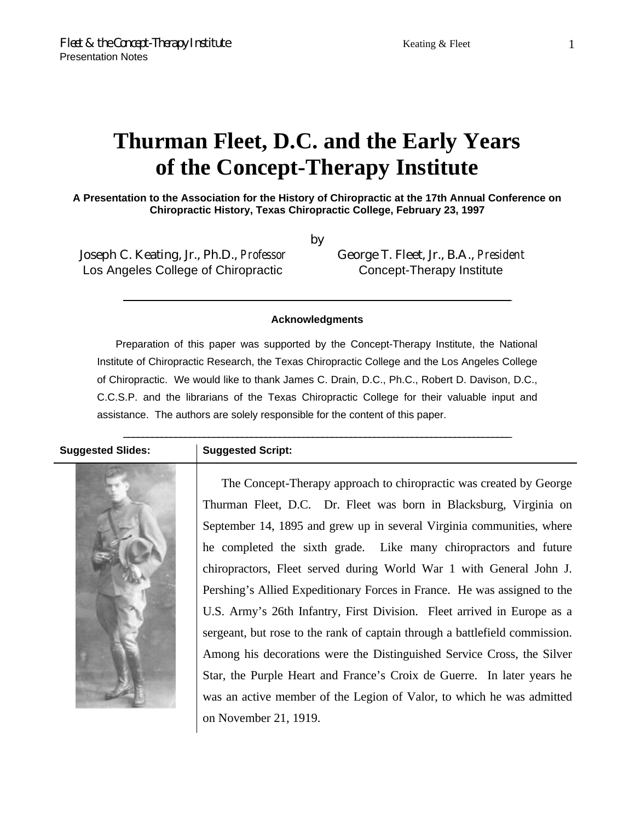### 1

# **Thurman Fleet, D.C. and the Early Years of the Concept-Therapy Institute**

**A Presentation to the Association for the History of Chiropractic at the 17th Annual Conference on Chiropractic History, Texas Chiropractic College, February 23, 1997**

by

Joseph C. Keating, Jr., Ph.D., *Professor* Los Angeles College of Chiropractic

George T. Fleet, Jr., B.A., *President* Concept-Therapy Institute

### **Acknowledgments**

 $\_$  , and the state of the state of the state of the state of the state of the state of the state of the state of the state of the state of the state of the state of the state of the state of the state of the state of the

Preparation of this paper was supported by the Concept-Therapy Institute, the National Institute of Chiropractic Research, the Texas Chiropractic College and the Los Angeles College of Chiropractic. We would like to thank James C. Drain, D.C., Ph.C., Robert D. Davison, D.C., C.C.S.P. and the librarians of the Texas Chiropractic College for their valuable input and assistance. The authors are solely responsible for the content of this paper.

\_\_\_\_\_\_\_\_\_\_\_\_\_\_\_\_\_\_\_\_\_\_\_\_\_\_\_\_\_\_\_\_\_\_\_\_\_\_\_\_\_\_\_\_\_\_\_\_\_\_\_\_\_\_\_\_\_\_\_\_\_\_\_\_\_\_\_\_\_\_\_\_\_\_\_\_\_\_\_\_\_\_

### **Suggested Slides: Suggested Script:**



The Concept-Therapy approach to chiropractic was created by George Thurman Fleet, D.C. Dr. Fleet was born in Blacksburg, Virginia on September 14, 1895 and grew up in several Virginia communities, where he completed the sixth grade. Like many chiropractors and future chiropractors, Fleet served during World War 1 with General John J. Pershing's Allied Expeditionary Forces in France. He was assigned to the U.S. Army's 26th Infantry, First Division. Fleet arrived in Europe as a sergeant, but rose to the rank of captain through a battlefield commission. Among his decorations were the Distinguished Service Cross, the Silver Star, the Purple Heart and France's Croix de Guerre. In later years he was an active member of the Legion of Valor, to which he was admitted on November 21, 1919.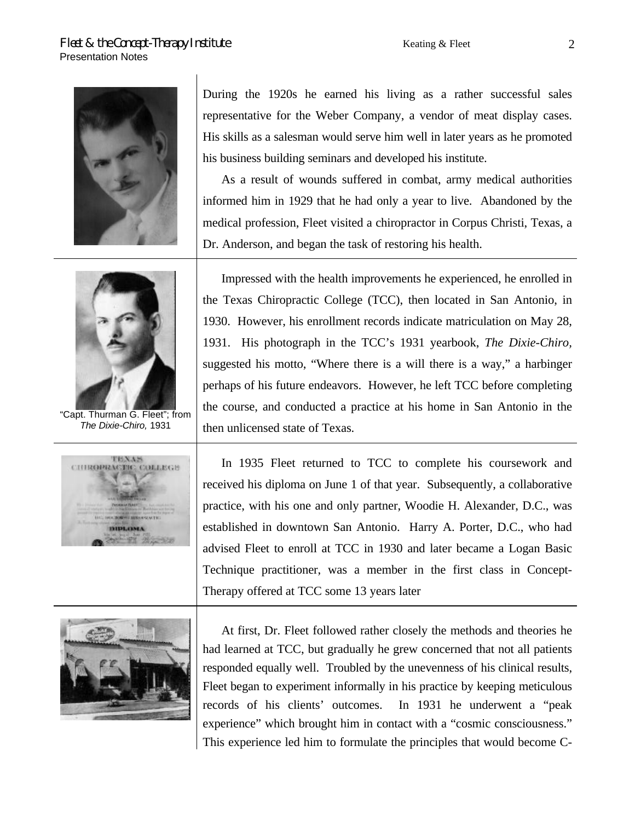

During the 1920s he earned his living as a rather successful sales representative for the Weber Company, a vendor of meat display cases. His skills as a salesman would serve him well in later years as he promoted his business building seminars and developed his institute.

As a result of wounds suffered in combat, army medical authorities informed him in 1929 that he had only a year to live. Abandoned by the medical profession, Fleet visited a chiropractor in Corpus Christi, Texas, a Dr. Anderson, and began the task of restoring his health.



"Capt. Thurman G. Fleet"; from *The Dixie-Chiro,* 1931





Impressed with the health improvements he experienced, he enrolled in the Texas Chiropractic College (TCC), then located in San Antonio, in 1930. However, his enrollment records indicate matriculation on May 28, 1931. His photograph in the TCC's 1931 yearbook, *The Dixie-Chiro,* suggested his motto, "Where there is a will there is a way," a harbinger perhaps of his future endeavors. However, he left TCC before completing the course, and conducted a practice at his home in San Antonio in the then unlicensed state of Texas.

In 1935 Fleet returned to TCC to complete his coursework and received his diploma on June 1 of that year. Subsequently, a collaborative practice, with his one and only partner, Woodie H. Alexander, D.C., was established in downtown San Antonio. Harry A. Porter, D.C., who had advised Fleet to enroll at TCC in 1930 and later became a Logan Basic Technique practitioner, was a member in the first class in Concept-Therapy offered at TCC some 13 years later

At first, Dr. Fleet followed rather closely the methods and theories he had learned at TCC, but gradually he grew concerned that not all patients responded equally well. Troubled by the unevenness of his clinical results, Fleet began to experiment informally in his practice by keeping meticulous records of his clients' outcomes. In 1931 he underwent a "peak experience" which brought him in contact with a "cosmic consciousness." This experience led him to formulate the principles that would become C-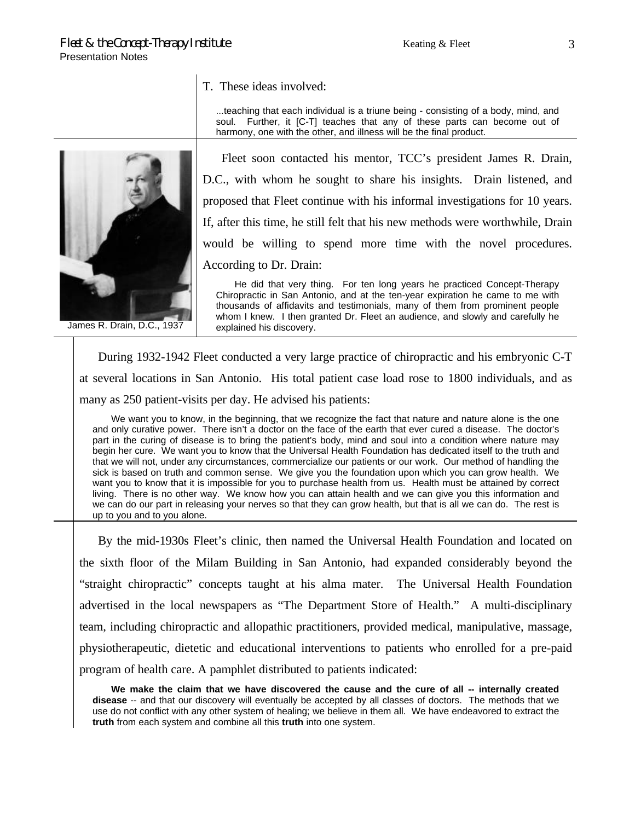T. These ideas involved:

...teaching that each individual is a triune being - consisting of a body, mind, and soul. Further, it [C-T] teaches that any of these parts can become out of harmony, one with the other, and illness will be the final product.

Fleet soon contacted his mentor, TCC's president James R. Drain, D.C., with whom he sought to share his insights. Drain listened, and proposed that Fleet continue with his informal investigations for 10 years. If, after this time, he still felt that his new methods were worthwhile, Drain would be willing to spend more time with the novel procedures. According to Dr. Drain:

He did that very thing. For ten long years he practiced Concept-Therapy Chiropractic in San Antonio, and at the ten-year expiration he came to me with thousands of affidavits and testimonials, many of them from prominent people whom I knew. I then granted Dr. Fleet an audience, and slowly and carefully he explained his discovery.

During 1932-1942 Fleet conducted a very large practice of chiropractic and his embryonic C-T at several locations in San Antonio. His total patient case load rose to 1800 individuals, and as many as 250 patient-visits per day. He advised his patients:

We want you to know, in the beginning, that we recognize the fact that nature and nature alone is the one and only curative power. There isn't a doctor on the face of the earth that ever cured a disease. The doctor's part in the curing of disease is to bring the patient's body, mind and soul into a condition where nature may begin her cure. We want you to know that the Universal Health Foundation has dedicated itself to the truth and that we will not, under any circumstances, commercialize our patients or our work. Our method of handling the sick is based on truth and common sense. We give you the foundation upon which you can grow health. We want you to know that it is impossible for you to purchase health from us. Health must be attained by correct living. There is no other way. We know how you can attain health and we can give you this information and we can do our part in releasing your nerves so that they can grow health, but that is all we can do. The rest is up to you and to you alone.

By the mid-1930s Fleet's clinic, then named the Universal Health Foundation and located on the sixth floor of the Milam Building in San Antonio, had expanded considerably beyond the "straight chiropractic" concepts taught at his alma mater. The Universal Health Foundation advertised in the local newspapers as "The Department Store of Health." A multi-disciplinary team, including chiropractic and allopathic practitioners, provided medical, manipulative, massage, physiotherapeutic, dietetic and educational interventions to patients who enrolled for a pre-paid program of health care. A pamphlet distributed to patients indicated:

**We make the claim that we have discovered the cause and the cure of all -- internally created disease** -- and that our discovery will eventually be accepted by all classes of doctors. The methods that we use do not conflict with any other system of healing; we believe in them all. We have endeavored to extract the **truth** from each system and combine all this **truth** into one system.



James R. Drain, D.C., 1937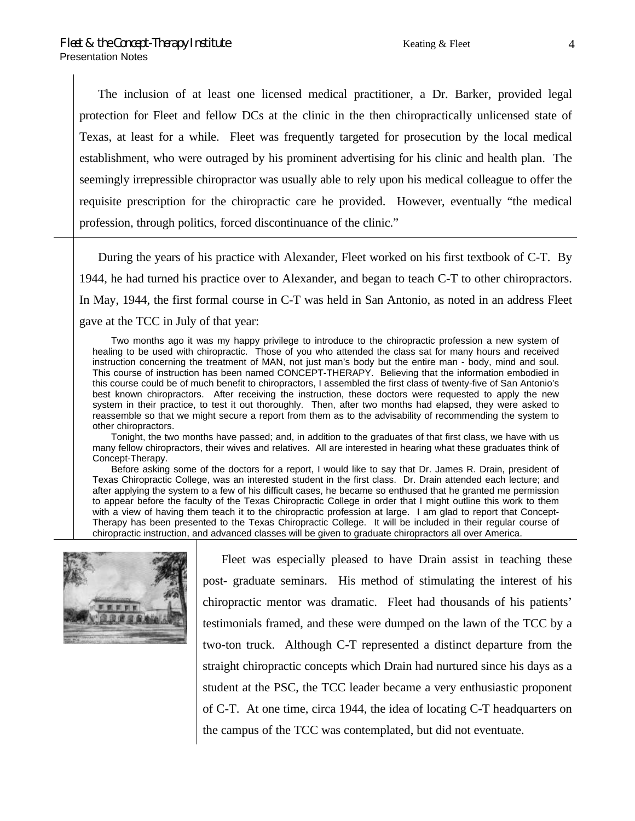The inclusion of at least one licensed medical practitioner, a Dr. Barker, provided legal protection for Fleet and fellow DCs at the clinic in the then chiropractically unlicensed state of Texas, at least for a while. Fleet was frequently targeted for prosecution by the local medical establishment, who were outraged by his prominent advertising for his clinic and health plan. The seemingly irrepressible chiropractor was usually able to rely upon his medical colleague to offer the requisite prescription for the chiropractic care he provided. However, eventually "the medical profession, through politics, forced discontinuance of the clinic."

During the years of his practice with Alexander, Fleet worked on his first textbook of C-T. By 1944, he had turned his practice over to Alexander, and began to teach C-T to other chiropractors. In May, 1944, the first formal course in C-T was held in San Antonio, as noted in an address Fleet gave at the TCC in July of that year:

Two months ago it was my happy privilege to introduce to the chiropractic profession a new system of healing to be used with chiropractic. Those of you who attended the class sat for many hours and received instruction concerning the treatment of MAN, not just man's body but the entire man - body, mind and soul. This course of instruction has been named CONCEPT-THERAPY. Believing that the information embodied in this course could be of much benefit to chiropractors, I assembled the first class of twenty-five of San Antonio's best known chiropractors. After receiving the instruction, these doctors were requested to apply the new system in their practice, to test it out thoroughly. Then, after two months had elapsed, they were asked to reassemble so that we might secure a report from them as to the advisability of recommending the system to other chiropractors.

Tonight, the two months have passed; and, in addition to the graduates of that first class, we have with us many fellow chiropractors, their wives and relatives. All are interested in hearing what these graduates think of Concept-Therapy.

Before asking some of the doctors for a report, I would like to say that Dr. James R. Drain, president of Texas Chiropractic College, was an interested student in the first class. Dr. Drain attended each lecture; and after applying the system to a few of his difficult cases, he became so enthused that he granted me permission to appear before the faculty of the Texas Chiropractic College in order that I might outline this work to them with a view of having them teach it to the chiropractic profession at large. I am glad to report that Concept-Therapy has been presented to the Texas Chiropractic College. It will be included in their regular course of chiropractic instruction, and advanced classes will be given to graduate chiropractors all over America.



Fleet was especially pleased to have Drain assist in teaching these post- graduate seminars. His method of stimulating the interest of his chiropractic mentor was dramatic. Fleet had thousands of his patients' testimonials framed, and these were dumped on the lawn of the TCC by a two-ton truck. Although C-T represented a distinct departure from the straight chiropractic concepts which Drain had nurtured since his days as a student at the PSC, the TCC leader became a very enthusiastic proponent of C-T. At one time, circa 1944, the idea of locating C-T headquarters on the campus of the TCC was contemplated, but did not eventuate.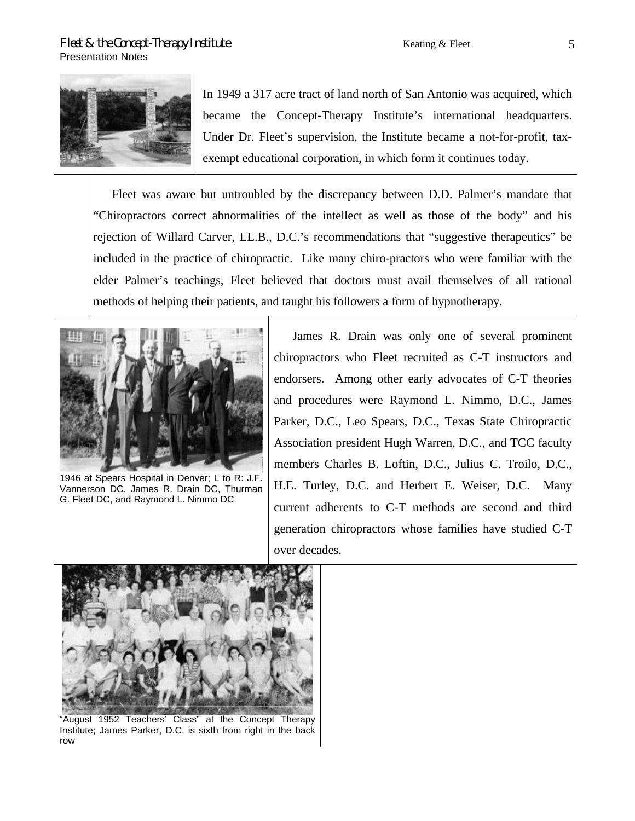

In 1949 a 317 acre tract of land north of San Antonio was acquired, which became the Concept-Therapy Institute's international headquarters. Under Dr. Fleet's supervision, the Institute became a not-for-profit, taxexempt educational corporation, in which form it continues today.

Fleet was aware but untroubled by the discrepancy between D.D. Palmer's mandate that "Chiropractors correct abnormalities of the intellect as well as those of the body" and his rejection of Willard Carver, LL.B., D.C.'s recommendations that "suggestive therapeutics" be included in the practice of chiropractic. Like many chiro-practors who were familiar with the elder Palmer's teachings, Fleet believed that doctors must avail themselves of all rational methods of helping their patients, and taught his followers a form of hypnotherapy.



1946 at Spears Hospital in Denver; L to R: J.F. Vannerson DC, James R. Drain DC, Thurman G. Fleet DC, and Raymond L. Nimmo DC

James R. Drain was only one of several prominent chiropractors who Fleet recruited as C-T instructors and endorsers. Among other early advocates of C-T theories and procedures were Raymond L. Nimmo, D.C., James Parker, D.C., Leo Spears, D.C., Texas State Chiropractic Association president Hugh Warren, D.C., and TCC faculty members Charles B. Loftin, D.C., Julius C. Troilo, D.C., H.E. Turley, D.C. and Herbert E. Weiser, D.C. Many current adherents to C-T methods are second and third generation chiropractors whose families have studied C-T over decades.



"August 1952 Teachers' Class" at the Concept Therapy Institute; James Parker, D.C. is sixth from right in the back row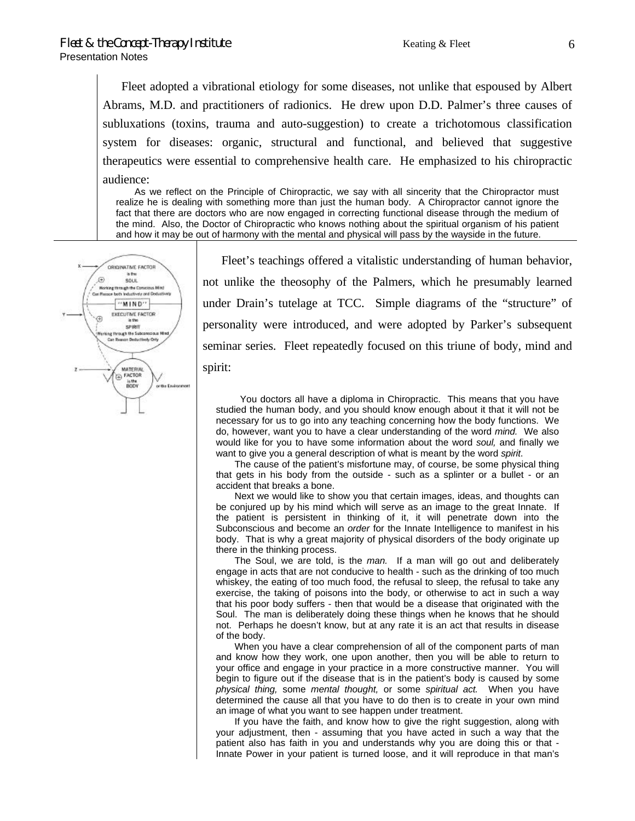Fleet adopted a vibrational etiology for some diseases, not unlike that espoused by Albert Abrams, M.D. and practitioners of radionics. He drew upon D.D. Palmer's three causes of subluxations (toxins, trauma and auto-suggestion) to create a trichotomous classification system for diseases: organic, structural and functional, and believed that suggestive therapeutics were essential to comprehensive health care. He emphasized to his chiropractic audience:

As we reflect on the Principle of Chiropractic, we say with all sincerity that the Chiropractor must realize he is dealing with something more than just the human body. A Chiropractor cannot ignore the fact that there are doctors who are now engaged in correcting functional disease through the medium of the mind. Also, the Doctor of Chiropractic who knows nothing about the spiritual organism of his patient and how it may be out of harmony with the mental and physical will pass by the wayside in the future.



Fleet's teachings offered a vitalistic understanding of human behavior, not unlike the theosophy of the Palmers, which he presumably learned under Drain's tutelage at TCC. Simple diagrams of the "structure" of personality were introduced, and were adopted by Parker's subsequent seminar series. Fleet repeatedly focused on this triune of body, mind and spirit:

You doctors all have a diploma in Chiropractic. This means that you have studied the human body, and you should know enough about it that it will not be necessary for us to go into any teaching concerning how the body functions. We do, however, want you to have a clear understanding of the word *mind.* We also would like for you to have some information about the word *soul,* and finally we want to give you a general description of what is meant by the word *spirit*.

The cause of the patient's misfortune may, of course, be some physical thing that gets in his body from the outside - such as a splinter or a bullet - or an accident that breaks a bone.

Next we would like to show you that certain images, ideas, and thoughts can be conjured up by his mind which will serve as an image to the great Innate. If the patient is persistent in thinking of it, it will penetrate down into the Subconscious and become an *order* for the Innate Intelligence to manifest in his body. That is why a great majority of physical disorders of the body originate up there in the thinking process.

The Soul, we are told, is the *man.* If a man will go out and deliberately engage in acts that are not conducive to health - such as the drinking of too much whiskey, the eating of too much food, the refusal to sleep, the refusal to take any exercise, the taking of poisons into the body, or otherwise to act in such a way that his poor body suffers - then that would be a disease that originated with the Soul. The man is deliberately doing these things when he knows that he should not. Perhaps he doesn't know, but at any rate it is an act that results in disease of the body.

When you have a clear comprehension of all of the component parts of man and know how they work, one upon another, then you will be able to return to your office and engage in your practice in a more constructive manner. You will begin to figure out if the disease that is in the patient's body is caused by some *physical thing,* some *mental thought,* or some *spiritual act.* When you have determined the cause all that you have to do then is to create in your own mind an image of what you want to see happen under treatment.

If you have the faith, and know how to give the right suggestion, along with your adjustment, then - assuming that you have acted in such a way that the patient also has faith in you and understands why you are doing this or that - Innate Power in your patient is turned loose, and it will reproduce in that man's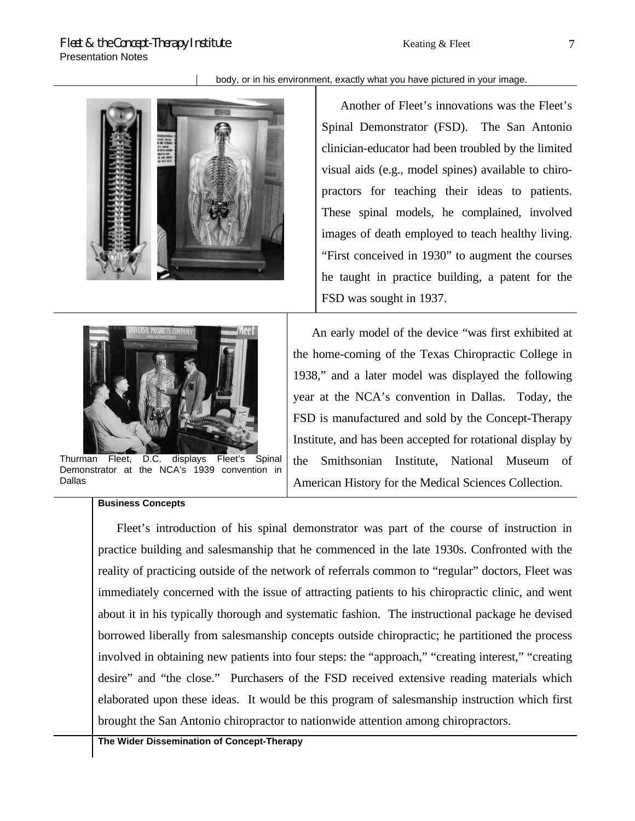### body, or in his environment, exactly what you have pictured in your image.



Another of Fleet's innovations was the Fleet's Spinal Demonstrator (FSD). The San Antonio clinician-educator had been troubled by the limited visual aids (e.g., model spines) available to chiropractors for teaching their ideas to patients. These spinal models, he complained, involved images of death employed to teach healthy living. "First conceived in 1930" to augment the courses he taught in practice building, a patent for the FSD was sought in 1937.



Thurman Fleet, D.C. displays Fleet's Spinal Demonstrator at the NCA's 1939 convention in Dallas

### **Business Concepts**

An early model of the device "was first exhibited at the home-coming of the Texas Chiropractic College in 1938," and a later model was displayed the following year at the NCA's convention in Dallas. Today, the FSD is manufactured and sold by the Concept-Therapy Institute, and has been accepted for rotational display by the Smithsonian Institute, National Museum of American History for the Medical Sciences Collection.

Fleet's introduction of his spinal demonstrator was part of the course of instruction in practice building and salesmanship that he commenced in the late 1930s. Confronted with the reality of practicing outside of the network of referrals common to "regular" doctors, Fleet was immediately concerned with the issue of attracting patients to his chiropractic clinic, and went about it in his typically thorough and systematic fashion. The instructional package he devised borrowed liberally from salesmanship concepts outside chiropractic; he partitioned the process involved in obtaining new patients into four steps: the "approach," "creating interest," "creating desire" and "the close." Purchasers of the FSD received extensive reading materials which elaborated upon these ideas. It would be this program of salesmanship instruction which first brought the San Antonio chiropractor to nationwide attention among chiropractors.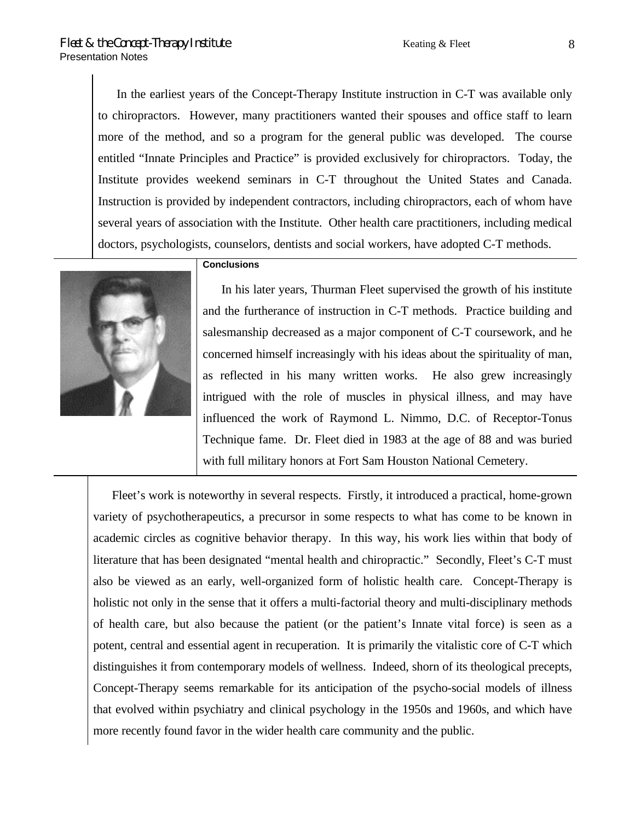In the earliest years of the Concept-Therapy Institute instruction in C-T was available only to chiropractors. However, many practitioners wanted their spouses and office staff to learn more of the method, and so a program for the general public was developed. The course entitled "Innate Principles and Practice" is provided exclusively for chiropractors. Today, the Institute provides weekend seminars in C-T throughout the United States and Canada. Instruction is provided by independent contractors, including chiropractors, each of whom have several years of association with the Institute. Other health care practitioners, including medical doctors, psychologists, counselors, dentists and social workers, have adopted C-T methods.

## **Conclusions**



In his later years, Thurman Fleet supervised the growth of his institute and the furtherance of instruction in C-T methods. Practice building and salesmanship decreased as a major component of C-T coursework, and he concerned himself increasingly with his ideas about the spirituality of man, as reflected in his many written works. He also grew increasingly intrigued with the role of muscles in physical illness, and may have influenced the work of Raymond L. Nimmo, D.C. of Receptor-Tonus Technique fame. Dr. Fleet died in 1983 at the age of 88 and was buried with full military honors at Fort Sam Houston National Cemetery.

Fleet's work is noteworthy in several respects. Firstly, it introduced a practical, home-grown variety of psychotherapeutics, a precursor in some respects to what has come to be known in academic circles as cognitive behavior therapy. In this way, his work lies within that body of literature that has been designated "mental health and chiropractic." Secondly, Fleet's C-T must also be viewed as an early, well-organized form of holistic health care. Concept-Therapy is holistic not only in the sense that it offers a multi-factorial theory and multi-disciplinary methods of health care, but also because the patient (or the patient's Innate vital force) is seen as a potent, central and essential agent in recuperation. It is primarily the vitalistic core of C-T which distinguishes it from contemporary models of wellness. Indeed, shorn of its theological precepts, Concept-Therapy seems remarkable for its anticipation of the psycho-social models of illness that evolved within psychiatry and clinical psychology in the 1950s and 1960s, and which have more recently found favor in the wider health care community and the public.